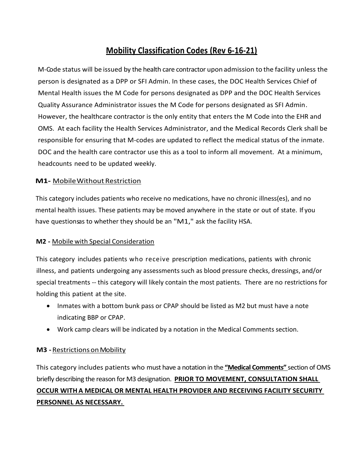# **Mobility Classification Codes (Rev 6-16-21)**

M-Code status will be issued by the health care contractor upon admission to the facility unless the person is designated as a DPP or SFI Admin. In these cases, the DOC Health Services Chief of Mental Health issues the M Code for persons designated as DPP and the DOC Health Services Quality Assurance Administrator issues the M Code for persons designated as SFI Admin. However, the healthcare contractor is the only entity that enters the M Code into the EHR and OMS. At each facility the Health Services Administrator, and the Medical Records Clerk shall be responsible for ensuring that M-codes are updated to reflect the medical status of the inmate. DOC and the health care contractor use this as a tool to inform all movement. At a minimum, headcounts need to be updated weekly.

### **M1-** Mobile Without Restriction

This category includes patients who receive no medications, have no chronic illness(es), and no mental health issues. These patients may be moved anywhere in the state or out of state. If you have questions as to whether they should be an "M1," ask the facility HSA.

### **M2 -** Mobile with Special Consideration

This category includes patients who receive prescription medications, patients with chronic illness, and patients undergoing any assessments such as blood pressure checks, dressings, and/or special treatments -- this category will likely contain the most patients. There are no restrictions for holding this patient at the site.

- Inmates with a bottom bunk pass or CPAP should be listed as M2 but must have a note indicating BBP or CPAP.
- Work camp clears will be indicated by a notation in the Medical Comments section.

## **M3 -**RestrictionsonMobility

This category includes patients who must have a notation in the **"Medical Comments"** section of OMS briefly describing the reason for M3 designation. **PRIOR TO MOVEMENT, CONSULTATION SHALL OCCUR WITHA MEDICAL OR MENTAL HEALTH PROVIDER AND RECEIVING FACILITY SECURITY PERSONNEL AS NECESSARY.**